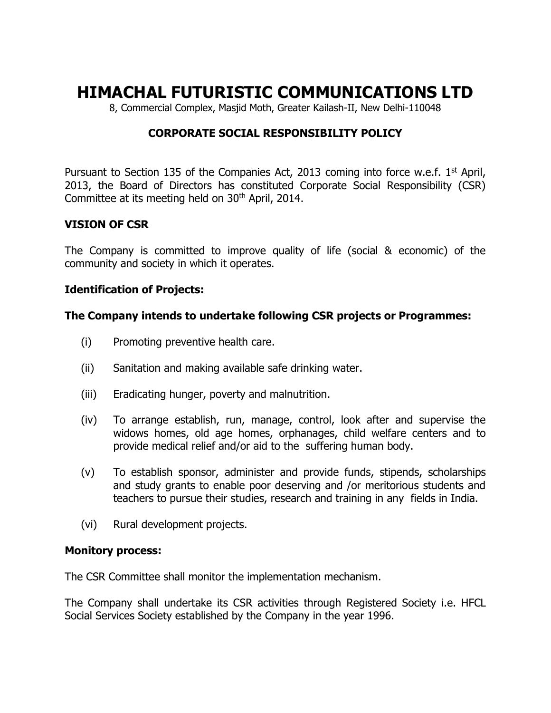# **HIMACHAL FUTURISTIC COMMUNICATIONS LTD**

8, Commercial Complex, Masjid Moth, Greater Kailash-II, New Delhi-110048

# **CORPORATE SOCIAL RESPONSIBILITY POLICY**

Pursuant to Section 135 of the Companies Act, 2013 coming into force w.e.f.  $1<sup>st</sup>$  April, 2013, the Board of Directors has constituted Corporate Social Responsibility (CSR) Committee at its meeting held on 30<sup>th</sup> April, 2014.

## **VISION OF CSR**

The Company is committed to improve quality of life (social & economic) of the community and society in which it operates.

## **Identification of Projects:**

#### **The Company intends to undertake following CSR projects or Programmes:**

- (i) Promoting preventive health care.
- (ii) Sanitation and making available safe drinking water.
- (iii) Eradicating hunger, poverty and malnutrition.
- (iv) To arrange establish, run, manage, control, look after and supervise the widows homes, old age homes, orphanages, child welfare centers and to provide medical relief and/or aid to the suffering human body.
- (v) To establish sponsor, administer and provide funds, stipends, scholarships and study grants to enable poor deserving and /or meritorious students and teachers to pursue their studies, research and training in any fields in India.
- (vi) Rural development projects.

#### **Monitory process:**

The CSR Committee shall monitor the implementation mechanism.

The Company shall undertake its CSR activities through Registered Society i.e. HFCL Social Services Society established by the Company in the year 1996.